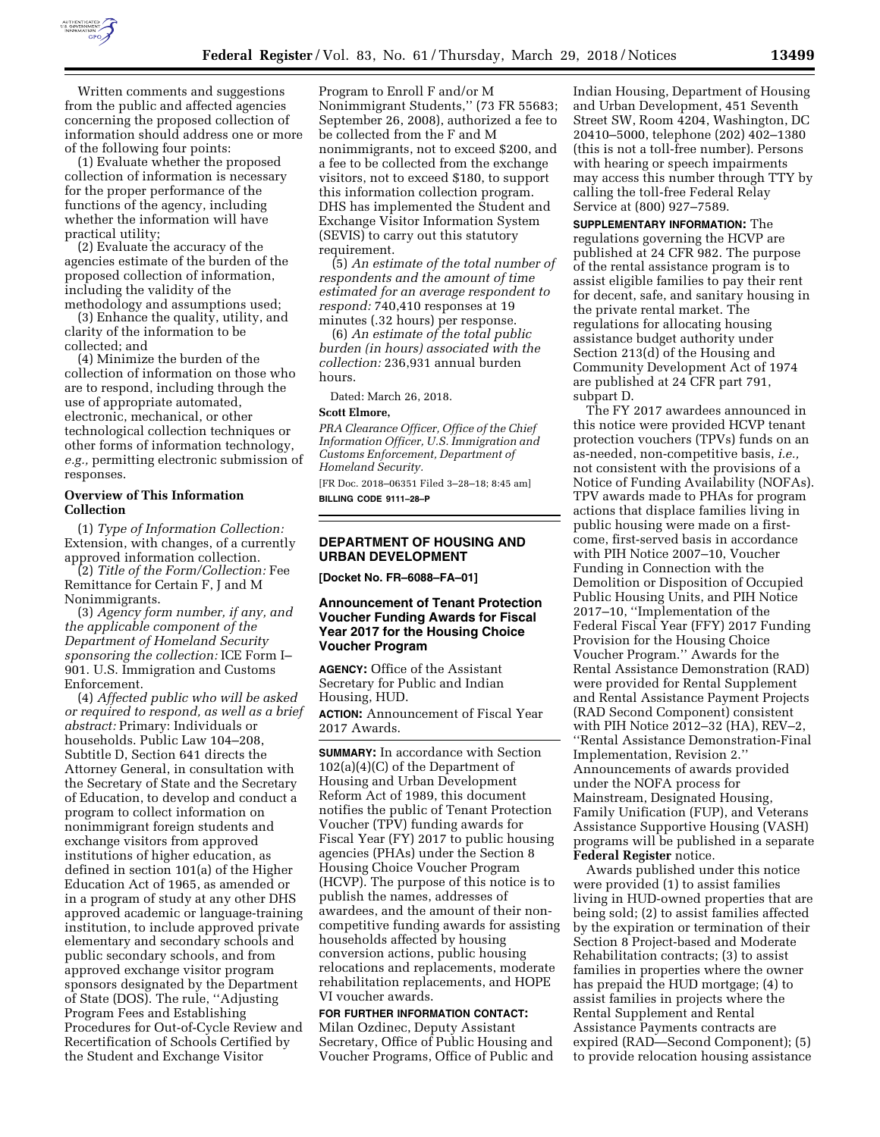

Written comments and suggestions from the public and affected agencies concerning the proposed collection of information should address one or more of the following four points:

(1) Evaluate whether the proposed collection of information is necessary for the proper performance of the functions of the agency, including whether the information will have practical utility;

(2) Evaluate the accuracy of the agencies estimate of the burden of the proposed collection of information, including the validity of the methodology and assumptions used;

(3) Enhance the quality, utility, and clarity of the information to be collected; and

(4) Minimize the burden of the collection of information on those who are to respond, including through the use of appropriate automated, electronic, mechanical, or other technological collection techniques or other forms of information technology, *e.g.,* permitting electronic submission of responses.

### **Overview of This Information Collection**

(1) *Type of Information Collection:*  Extension, with changes, of a currently approved information collection.

(2) *Title of the Form/Collection:* Fee Remittance for Certain F, J and M Nonimmigrants.

(3) *Agency form number, if any, and the applicable component of the Department of Homeland Security sponsoring the collection:* ICE Form I– 901. U.S. Immigration and Customs Enforcement.

(4) *Affected public who will be asked or required to respond, as well as a brief abstract:* Primary: Individuals or households. Public Law 104–208, Subtitle D, Section 641 directs the Attorney General, in consultation with the Secretary of State and the Secretary of Education, to develop and conduct a program to collect information on nonimmigrant foreign students and exchange visitors from approved institutions of higher education, as defined in section 101(a) of the Higher Education Act of 1965, as amended or in a program of study at any other DHS approved academic or language-training institution, to include approved private elementary and secondary schools and public secondary schools, and from approved exchange visitor program sponsors designated by the Department of State (DOS). The rule, ''Adjusting Program Fees and Establishing Procedures for Out-of-Cycle Review and Recertification of Schools Certified by the Student and Exchange Visitor

Program to Enroll F and/or M Nonimmigrant Students,'' (73 FR 55683; September 26, 2008), authorized a fee to be collected from the F and M nonimmigrants, not to exceed \$200, and a fee to be collected from the exchange visitors, not to exceed \$180, to support this information collection program. DHS has implemented the Student and Exchange Visitor Information System (SEVIS) to carry out this statutory requirement.

(5) *An estimate of the total number of respondents and the amount of time estimated for an average respondent to respond:* 740,410 responses at 19 minutes (.32 hours) per response.

(6) *An estimate of the total public burden (in hours) associated with the collection:* 236,931 annual burden hours.

Dated: March 26, 2018.

#### **Scott Elmore,**

*PRA Clearance Officer, Office of the Chief Information Officer, U.S. Immigration and Customs Enforcement, Department of Homeland Security.* 

[FR Doc. 2018–06351 Filed 3–28–18; 8:45 am] **BILLING CODE 9111–28–P** 

### **DEPARTMENT OF HOUSING AND URBAN DEVELOPMENT**

**[Docket No. FR–6088–FA–01]** 

#### **Announcement of Tenant Protection Voucher Funding Awards for Fiscal Year 2017 for the Housing Choice Voucher Program**

**AGENCY:** Office of the Assistant Secretary for Public and Indian Housing, HUD.

**ACTION:** Announcement of Fiscal Year 2017 Awards.

**SUMMARY:** In accordance with Section 102(a)(4)(C) of the Department of Housing and Urban Development Reform Act of 1989, this document notifies the public of Tenant Protection Voucher (TPV) funding awards for Fiscal Year (FY) 2017 to public housing agencies (PHAs) under the Section 8 Housing Choice Voucher Program (HCVP). The purpose of this notice is to publish the names, addresses of awardees, and the amount of their noncompetitive funding awards for assisting households affected by housing conversion actions, public housing relocations and replacements, moderate rehabilitation replacements, and HOPE VI voucher awards.

### **FOR FURTHER INFORMATION CONTACT:**

Milan Ozdinec, Deputy Assistant Secretary, Office of Public Housing and Voucher Programs, Office of Public and Indian Housing, Department of Housing and Urban Development, 451 Seventh Street SW, Room 4204, Washington, DC 20410–5000, telephone (202) 402–1380 (this is not a toll-free number). Persons with hearing or speech impairments may access this number through TTY by calling the toll-free Federal Relay Service at (800) 927–7589.

**SUPPLEMENTARY INFORMATION:** The regulations governing the HCVP are published at 24 CFR 982. The purpose of the rental assistance program is to assist eligible families to pay their rent for decent, safe, and sanitary housing in the private rental market. The regulations for allocating housing assistance budget authority under Section 213(d) of the Housing and Community Development Act of 1974 are published at 24 CFR part 791, subpart D.

The FY 2017 awardees announced in this notice were provided HCVP tenant protection vouchers (TPVs) funds on an as-needed, non-competitive basis, *i.e.,*  not consistent with the provisions of a Notice of Funding Availability (NOFAs). TPV awards made to PHAs for program actions that displace families living in public housing were made on a firstcome, first-served basis in accordance with PIH Notice 2007–10, Voucher Funding in Connection with the Demolition or Disposition of Occupied Public Housing Units, and PIH Notice 2017–10, ''Implementation of the Federal Fiscal Year (FFY) 2017 Funding Provision for the Housing Choice Voucher Program.'' Awards for the Rental Assistance Demonstration (RAD) were provided for Rental Supplement and Rental Assistance Payment Projects (RAD Second Component) consistent with PIH Notice 2012–32 (HA), REV–2, ''Rental Assistance Demonstration-Final Implementation, Revision 2.'' Announcements of awards provided under the NOFA process for Mainstream, Designated Housing, Family Unification (FUP), and Veterans Assistance Supportive Housing (VASH) programs will be published in a separate **Federal Register** notice.

Awards published under this notice were provided (1) to assist families living in HUD-owned properties that are being sold; (2) to assist families affected by the expiration or termination of their Section 8 Project-based and Moderate Rehabilitation contracts; (3) to assist families in properties where the owner has prepaid the HUD mortgage; (4) to assist families in projects where the Rental Supplement and Rental Assistance Payments contracts are expired (RAD—Second Component); (5) to provide relocation housing assistance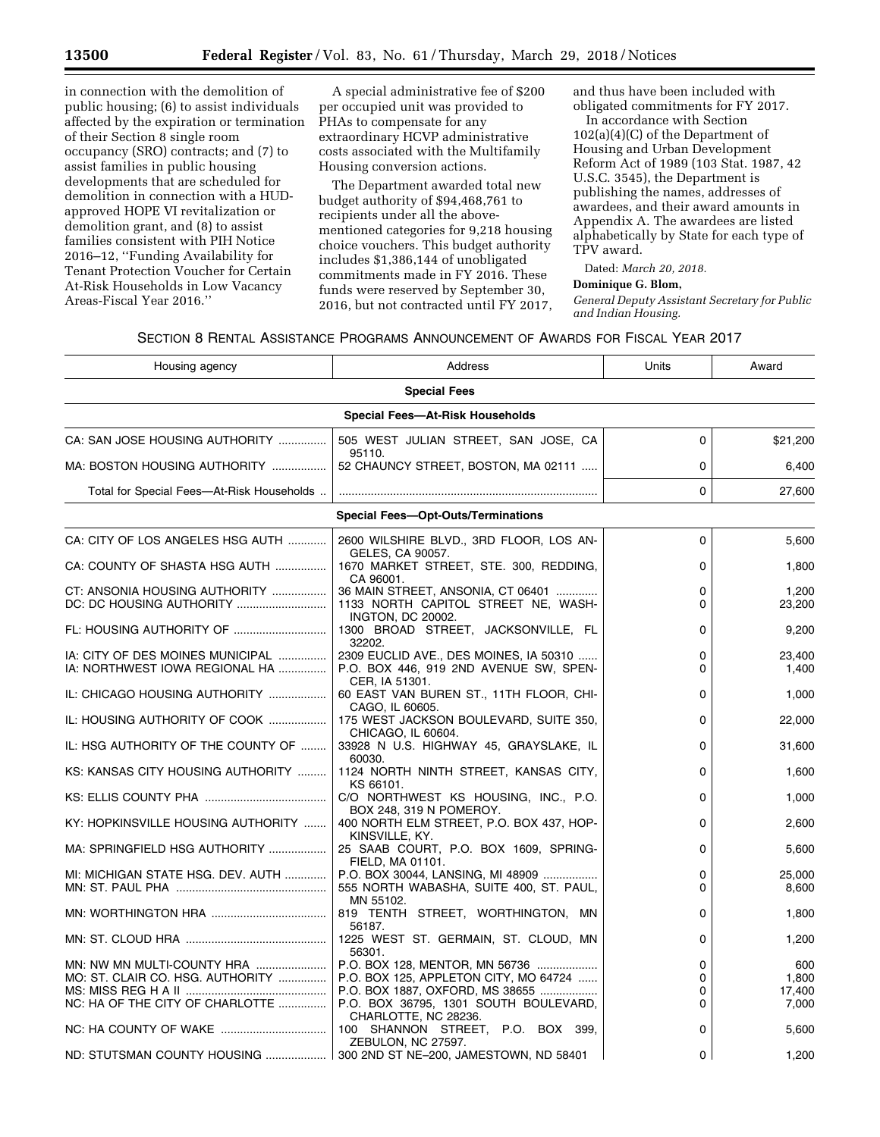in connection with the demolition of public housing; (6) to assist individuals affected by the expiration or termination of their Section 8 single room occupancy (SRO) contracts; and (7) to assist families in public housing developments that are scheduled for demolition in connection with a HUDapproved HOPE VI revitalization or demolition grant, and (8) to assist families consistent with PIH Notice 2016–12, ''Funding Availability for Tenant Protection Voucher for Certain At-Risk Households in Low Vacancy Areas-Fiscal Year 2016.''

A special administrative fee of \$200 per occupied unit was provided to PHAs to compensate for any extraordinary HCVP administrative costs associated with the Multifamily Housing conversion actions.

The Department awarded total new budget authority of \$94,468,761 to recipients under all the abovementioned categories for 9,218 housing choice vouchers. This budget authority includes \$1,386,144 of unobligated commitments made in FY 2016. These funds were reserved by September 30, 2016, but not contracted until FY 2017, and thus have been included with obligated commitments for FY 2017.

In accordance with Section 102(a)(4)(C) of the Department of Housing and Urban Development Reform Act of 1989 (103 Stat. 1987, 42 U.S.C. 3545), the Department is publishing the names, addresses of awardees, and their award amounts in Appendix A. The awardees are listed alphabetically by State for each type of TPV award.

Dated: *March 20, 2018.* 

#### **Dominique G. Blom,**

*General Deputy Assistant Secretary for Public and Indian Housing.* 

### SECTION 8 RENTAL ASSISTANCE PROGRAMS ANNOUNCEMENT OF AWARDS FOR FISCAL YEAR 2017

| Housing agency                            | Address                                                                      | Units    | Award    |
|-------------------------------------------|------------------------------------------------------------------------------|----------|----------|
| <b>Special Fees</b>                       |                                                                              |          |          |
|                                           | <b>Special Fees-At-Risk Households</b>                                       |          |          |
| CA: SAN JOSE HOUSING AUTHORITY            | 505 WEST JULIAN STREET, SAN JOSE, CA<br>95110.                               | $\Omega$ | \$21,200 |
| MA: BOSTON HOUSING AUTHORITY              | 52 CHAUNCY STREET, BOSTON, MA 02111                                          | 0        | 6,400    |
| Total for Special Fees-At-Risk Households |                                                                              | 0        | 27,600   |
|                                           | <b>Special Fees-Opt-Outs/Terminations</b>                                    |          |          |
| CA: CITY OF LOS ANGELES HSG AUTH          | 2600 WILSHIRE BLVD., 3RD FLOOR, LOS AN-<br>GELES, CA 90057.                  | 0        | 5,600    |
| CA: COUNTY OF SHASTA HSG AUTH             | 1670 MARKET STREET, STE. 300, REDDING,<br>CA 96001.                          | 0        | 1,800    |
| CT: ANSONIA HOUSING AUTHORITY             | 36 MAIN STREET, ANSONIA, CT 06401                                            | 0        | 1,200    |
|                                           | 1133 NORTH CAPITOL STREET NE, WASH-<br><b>INGTON, DC 20002.</b>              | 0        | 23,200   |
| FL: HOUSING AUTHORITY OF                  | 1300 BROAD STREET, JACKSONVILLE, FL<br>32202.                                | $\Omega$ | 9,200    |
| IA: CITY OF DES MOINES MUNICIPAL          | 2309 EUCLID AVE., DES MOINES, IA 50310                                       | 0        | 23,400   |
| IA: NORTHWEST IOWA REGIONAL HA            | P.O. BOX 446, 919 2ND AVENUE SW, SPEN-                                       | 0        | 1,400    |
| IL: CHICAGO HOUSING AUTHORITY             | CER, IA 51301.<br>60 EAST VAN BUREN ST., 11TH FLOOR, CHI-<br>CAGO, IL 60605. | $\Omega$ | 1,000    |
| IL: HOUSING AUTHORITY OF COOK             | 175 WEST JACKSON BOULEVARD, SUITE 350,<br>CHICAGO, IL 60604.                 | 0        | 22,000   |
| IL: HSG AUTHORITY OF THE COUNTY OF        | 33928 N U.S. HIGHWAY 45, GRAYSLAKE, IL<br>60030.                             | $\Omega$ | 31,600   |
| KS: KANSAS CITY HOUSING AUTHORITY         | 1124 NORTH NINTH STREET, KANSAS CITY,<br>KS 66101.                           | 0        | 1,600    |
|                                           | C/O NORTHWEST KS HOUSING, INC., P.O.<br>BOX 248, 319 N POMEROY.              | 0        | 1,000    |
| KY: HOPKINSVILLE HOUSING AUTHORITY        | 400 NORTH ELM STREET, P.O. BOX 437, HOP-<br>KINSVILLE, KY.                   | 0        | 2,600    |
| MA: SPRINGFIELD HSG AUTHORITY             | 25 SAAB COURT, P.O. BOX 1609, SPRING-<br>FIELD, MA 01101.                    | 0        | 5,600    |
| MI: MICHIGAN STATE HSG. DEV. AUTH         | P.O. BOX 30044, LANSING, MI 48909                                            | 0        | 25,000   |
|                                           | 555 NORTH WABASHA, SUITE 400, ST. PAUL,<br>MN 55102.                         | 0        | 8,600    |
|                                           | 819 TENTH STREET, WORTHINGTON, MN<br>56187.                                  | 0        | 1,800    |
|                                           | 1225 WEST ST. GERMAIN, ST. CLOUD, MN<br>56301.                               | 0        | 1,200    |
| MN: NW MN MULTI-COUNTY HRA                | P.O. BOX 128, MENTOR, MN 56736                                               | 0        | 600      |
| MO: ST. CLAIR CO. HSG. AUTHORITY          | P.O. BOX 125, APPLETON CITY, MO 64724                                        | 0        | 1,800    |
|                                           | P.O. BOX 1887, OXFORD, MS 38655                                              | 0        | 17,400   |
| NC: HA OF THE CITY OF CHARLOTTE           | P.O. BOX 36795, 1301 SOUTH BOULEVARD,                                        | $\Omega$ | 7,000    |
|                                           | CHARLOTTE, NC 28236.                                                         |          |          |
|                                           | 100 SHANNON STREET, P.O. BOX 399,<br>ZEBULON, NC 27597.                      | 0        | 5,600    |
| ND: STUTSMAN COUNTY HOUSING               | 300 2ND ST NE-200, JAMESTOWN, ND 58401                                       | 0        | 1,200    |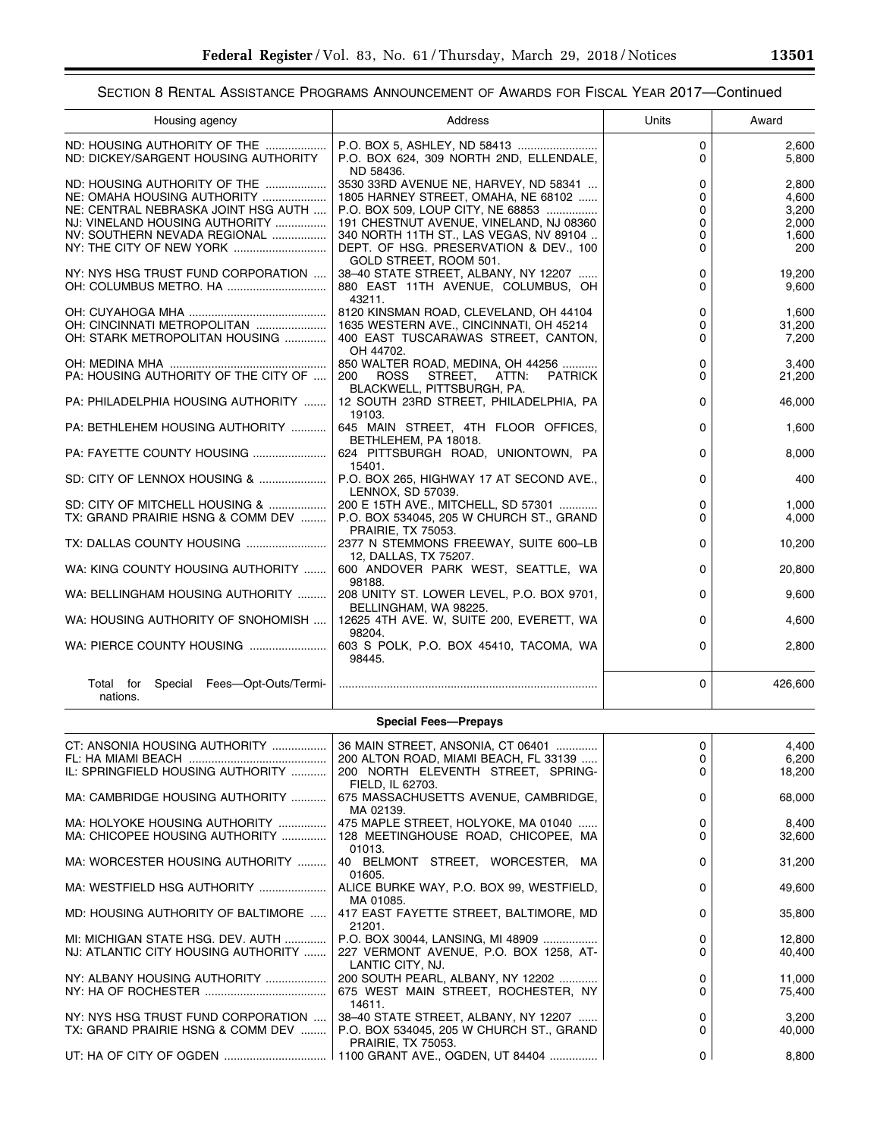e<br>B

### SECTION 8 RENTAL ASSISTANCE PROGRAMS ANNOUNCEMENT OF AWARDS FOR FISCAL YEAR 2017—Continued

| Housing agency                                        | Address                                                                           | Units    | Award           |
|-------------------------------------------------------|-----------------------------------------------------------------------------------|----------|-----------------|
| ND: HOUSING AUTHORITY OF THE                          | P.O. BOX 5, ASHLEY, ND 58413                                                      | 0        | 2,600           |
| ND: DICKEY/SARGENT HOUSING AUTHORITY                  | P.O. BOX 624, 309 NORTH 2ND, ELLENDALE,                                           | 0        | 5,800           |
| ND: HOUSING AUTHORITY OF THE                          | ND 58436.<br>3530 33RD AVENUE NE, HARVEY, ND 58341                                | 0        | 2,800           |
| NE: OMAHA HOUSING AUTHORITY                           | 1805 HARNEY STREET, OMAHA, NE 68102                                               | 0        | 4,600           |
| NE: CENTRAL NEBRASKA JOINT HSG AUTH                   | P.O. BOX 509, LOUP CITY, NE 68853                                                 | 0        | 3,200           |
| NJ: VINELAND HOUSING AUTHORITY                        | 191 CHESTNUT AVENUE, VINELAND, NJ 08360                                           | 0        | 2,000           |
| NV: SOUTHERN NEVADA REGIONAL                          | 340 NORTH 11TH ST., LAS VEGAS, NV 89104                                           | 0        | 1,600           |
|                                                       | DEPT. OF HSG. PRESERVATION & DEV., 100<br>GOLD STREET, ROOM 501.                  | $\Omega$ | 200             |
| NY: NYS HSG TRUST FUND CORPORATION                    | 38-40 STATE STREET, ALBANY, NY 12207                                              | 0        | 19,200          |
|                                                       | 880 EAST 11TH AVENUE, COLUMBUS, OH                                                | $\Omega$ | 9,600           |
|                                                       | 43211.                                                                            |          |                 |
| OH: CINCINNATI METROPOLITAN                           | 8120 KINSMAN ROAD, CLEVELAND, OH 44104<br>1635 WESTERN AVE., CINCINNATI, OH 45214 | 0<br>0   | 1,600<br>31,200 |
| OH: STARK METROPOLITAN HOUSING                        | 400 EAST TUSCARAWAS STREET, CANTON,                                               | $\Omega$ | 7,200           |
|                                                       | OH 44702.                                                                         |          |                 |
|                                                       | 850 WALTER ROAD, MEDINA, OH 44256                                                 | 0        | 3,400           |
| PA: HOUSING AUTHORITY OF THE CITY OF                  | STREET,<br>ATTN:<br>200<br>ROSS<br><b>PATRICK</b>                                 | $\Omega$ | 21,200          |
|                                                       | BLACKWELL, PITTSBURGH, PA.                                                        |          |                 |
| PA: PHILADELPHIA HOUSING AUTHORITY                    | 12 SOUTH 23RD STREET, PHILADELPHIA, PA<br>19103.                                  | 0        | 46,000          |
| PA: BETHLEHEM HOUSING AUTHORITY                       | 645 MAIN STREET, 4TH FLOOR OFFICES,                                               | $\Omega$ | 1,600           |
|                                                       | BETHLEHEM, PA 18018.                                                              |          |                 |
| PA: FAYETTE COUNTY HOUSING                            | 624 PITTSBURGH ROAD, UNIONTOWN, PA                                                | $\Omega$ | 8,000           |
|                                                       | 15401.                                                                            |          |                 |
| SD: CITY OF LENNOX HOUSING &                          | P.O. BOX 265, HIGHWAY 17 AT SECOND AVE.,<br>LENNOX, SD 57039.                     | 0        | 400             |
| SD: CITY OF MITCHELL HOUSING &                        | 200 E 15TH AVE., MITCHELL, SD 57301                                               | 0        | 1,000           |
| TX: GRAND PRAIRIE HSNG & COMM DEV                     | P.O. BOX 534045, 205 W CHURCH ST., GRAND                                          | $\Omega$ | 4,000           |
|                                                       | <b>PRAIRIE, TX 75053.</b>                                                         |          |                 |
| TX: DALLAS COUNTY HOUSING                             | 2377 N STEMMONS FREEWAY, SUITE 600-LB                                             | 0        | 10,200          |
| WA: KING COUNTY HOUSING AUTHORITY                     | 12, DALLAS, TX 75207.<br>600 ANDOVER PARK WEST, SEATTLE, WA                       | 0        | 20,800          |
|                                                       | 98188.                                                                            |          |                 |
| WA: BELLINGHAM HOUSING AUTHORITY                      | 208 UNITY ST. LOWER LEVEL, P.O. BOX 9701,                                         | $\Omega$ | 9,600           |
|                                                       | BELLINGHAM, WA 98225.                                                             |          |                 |
| WA: HOUSING AUTHORITY OF SNOHOMISH                    | 12625 4TH AVE. W, SUITE 200, EVERETT, WA<br>98204.                                | $\Omega$ | 4,600           |
| WA: PIERCE COUNTY HOUSING                             | 603 S POLK, P.O. BOX 45410, TACOMA, WA                                            | $\Omega$ | 2,800           |
|                                                       | 98445.                                                                            |          |                 |
|                                                       |                                                                                   | $\Omega$ |                 |
| Special Fees-Opt-Outs/Termi-<br>Total for<br>nations. |                                                                                   |          | 426,600         |
|                                                       |                                                                                   |          |                 |
|                                                       | <b>Special Fees-Prepays</b>                                                       |          |                 |
| CT: ANSONIA HOUSING AUTHORITY                         | 36 MAIN STREET, ANSONIA, CT 06401                                                 | 0        | 4,400           |
|                                                       | 200 ALTON ROAD, MIAMI BEACH, FL 33139                                             | 0        | 6,200           |
| IL: SPRINGFIELD HOUSING AUTHORITY                     | 200 NORTH ELEVENTH STREET, SPRING-                                                | 0        | 18,200          |
|                                                       | FIELD, IL 62703.                                                                  |          |                 |
| MA: CAMBRIDGE HOUSING AUTHORITY                       | 675 MASSACHUSETTS AVENUE, CAMBRIDGE,<br>MA 02139.                                 | 0        | 68,000          |
| MA: HOLYOKE HOUSING AUTHORITY                         | 475 MAPLE STREET, HOLYOKE, MA 01040                                               | 0        | 8,400           |
| MA: CHICOPEE HOUSING AUTHORITY                        | 128 MEETINGHOUSE ROAD, CHICOPEE, MA                                               | 0        | 32,600          |
|                                                       | 01013.                                                                            |          |                 |
| MA: WORCESTER HOUSING AUTHORITY                       | 40 BELMONT STREET, WORCESTER, MA                                                  | 0        | 31,200          |
|                                                       | 01605.                                                                            |          |                 |
| MA: WESTFIELD HSG AUTHORITY                           | ALICE BURKE WAY, P.O. BOX 99, WESTFIELD,<br>MA 01085.                             | 0        | 49,600          |
| MD: HOUSING AUTHORITY OF BALTIMORE                    | 417 EAST FAYETTE STREET, BALTIMORE, MD                                            | 0        | 35,800          |
|                                                       | 21201.                                                                            |          |                 |
| MI: MICHIGAN STATE HSG. DEV. AUTH                     | P.O. BOX 30044, LANSING, MI 48909                                                 | 0        | 12,800          |
| NJ: ATLANTIC CITY HOUSING AUTHORITY                   | 227 VERMONT AVENUE, P.O. BOX 1258, AT-                                            | 0        | 40,400          |
|                                                       | LANTIC CITY, NJ.                                                                  |          |                 |
| NY: ALBANY HOUSING AUTHORITY                          | 200 SOUTH PEARL, ALBANY, NY 12202                                                 | 0<br>0   | 11,000          |
|                                                       | 675 WEST MAIN STREET, ROCHESTER, NY<br>14611.                                     |          | 75,400          |
| NY: NYS HSG TRUST FUND CORPORATION                    | 38-40 STATE STREET, ALBANY, NY 12207                                              | 0        | 3,200           |
| TX: GRAND PRAIRIE HSNG & COMM DEV                     | P.O. BOX 534045, 205 W CHURCH ST., GRAND                                          | $\Omega$ | 40,000          |

PRAIRIE, TX 75053.

UT: HA OF CITY OF OGDEN ................................ 1100 GRANT AVE., OGDEN, UT 84404 ............... 0 8,800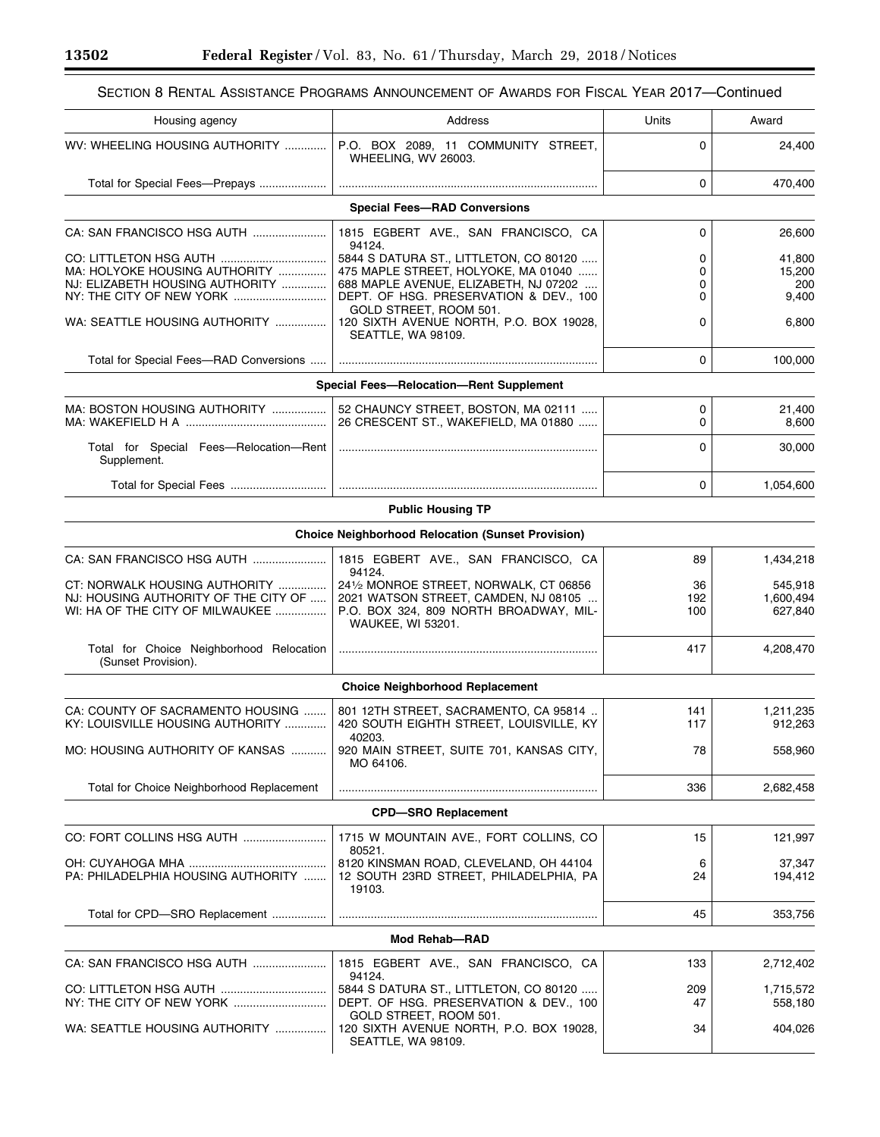$\equiv$ 

 $\equiv$ 

# SECTION 8 RENTAL ASSISTANCE PROGRAMS ANNOUNCEMENT OF AWARDS FOR FISCAL YEAR 2017—Continued

| Housing agency                                                                                           | Address                                                                                                                                                                    | Units            | Award                            |
|----------------------------------------------------------------------------------------------------------|----------------------------------------------------------------------------------------------------------------------------------------------------------------------------|------------------|----------------------------------|
| WV: WHEELING HOUSING AUTHORITY                                                                           | P.O. BOX 2089, 11 COMMUNITY STREET,<br><b>WHEELING, WV 26003.</b>                                                                                                          | 0                | 24,400                           |
| Total for Special Fees-Prepays                                                                           |                                                                                                                                                                            | 0                | 470,400                          |
|                                                                                                          | <b>Special Fees-RAD Conversions</b>                                                                                                                                        |                  |                                  |
| CA: SAN FRANCISCO HSG AUTH                                                                               | 1815 EGBERT AVE., SAN FRANCISCO, CA                                                                                                                                        | 0                | 26,600                           |
| MA: HOLYOKE HOUSING AUTHORITY<br>NJ: ELIZABETH HOUSING AUTHORITY                                         | 94124.<br>5844 S DATURA ST., LITTLETON, CO 80120<br>475 MAPLE STREET, HOLYOKE, MA 01040<br>688 MAPLE AVENUE, ELIZABETH, NJ 07202<br>DEPT. OF HSG. PRESERVATION & DEV., 100 | 0<br>0<br>0<br>0 | 41,800<br>15,200<br>200<br>9,400 |
| WA: SEATTLE HOUSING AUTHORITY                                                                            | GOLD STREET, ROOM 501.<br>120 SIXTH AVENUE NORTH, P.O. BOX 19028,<br>SEATTLE, WA 98109.                                                                                    | 0                | 6,800                            |
| Total for Special Fees-RAD Conversions                                                                   |                                                                                                                                                                            | 0                | 100,000                          |
|                                                                                                          | <b>Special Fees-Relocation-Rent Supplement</b>                                                                                                                             |                  |                                  |
| MA: BOSTON HOUSING AUTHORITY                                                                             | 52 CHAUNCY STREET, BOSTON, MA 02111<br>26 CRESCENT ST., WAKEFIELD, MA 01880                                                                                                | 0<br>0           | 21,400<br>8,600                  |
| Total for Special Fees-Relocation-Rent<br>Supplement.                                                    |                                                                                                                                                                            | 0                | 30,000                           |
| Total for Special Fees                                                                                   |                                                                                                                                                                            | 0                | 1,054,600                        |
|                                                                                                          | <b>Public Housing TP</b>                                                                                                                                                   |                  |                                  |
|                                                                                                          | <b>Choice Neighborhood Relocation (Sunset Provision)</b>                                                                                                                   |                  |                                  |
| CA: SAN FRANCISCO HSG AUTH                                                                               | 1815 EGBERT AVE., SAN FRANCISCO, CA<br>94124.                                                                                                                              | 89               | 1,434,218                        |
| CT: NORWALK HOUSING AUTHORITY<br>NJ: HOUSING AUTHORITY OF THE CITY OF<br>WI: HA OF THE CITY OF MILWAUKEE | 241/2 MONROE STREET, NORWALK, CT 06856<br>2021 WATSON STREET, CAMDEN, NJ 08105<br>P.O. BOX 324, 809 NORTH BROADWAY, MIL-<br>WAUKEE, WI 53201.                              | 36<br>192<br>100 | 545,918<br>1,600,494<br>627,840  |
| Total for Choice Neighborhood Relocation<br>(Sunset Provision).                                          |                                                                                                                                                                            | 417              | 4,208,470                        |
|                                                                                                          | <b>Choice Neighborhood Replacement</b>                                                                                                                                     |                  |                                  |
| CA: COUNTY OF SACRAMENTO HOUSING<br>KY: LOUISVILLE HOUSING AUTHORITY                                     | 801 12TH STREET, SACRAMENTO, CA 95814<br>420 SOUTH EIGHTH STREET, LOUISVILLE, KY                                                                                           | 141<br>117       | 1,211,235<br>912,263             |
| MO: HOUSING AUTHORITY OF KANSAS                                                                          | 40203.<br>920 MAIN STREET, SUITE 701, KANSAS CITY,<br>MO 64106.                                                                                                            | 78               | 558,960                          |
| Total for Choice Neighborhood Replacement                                                                |                                                                                                                                                                            | 336              | 2,682,458                        |
|                                                                                                          | <b>CPD-SRO Replacement</b>                                                                                                                                                 |                  |                                  |
| CO: FORT COLLINS HSG AUTH                                                                                | 1715 W MOUNTAIN AVE., FORT COLLINS, CO<br>80521.                                                                                                                           | 15               | 121,997                          |
| PA: PHILADELPHIA HOUSING AUTHORITY                                                                       | 8120 KINSMAN ROAD, CLEVELAND, OH 44104<br>12 SOUTH 23RD STREET, PHILADELPHIA, PA<br>19103.                                                                                 | 6<br>24          | 37,347<br>194,412                |
| Total for CPD-SRO Replacement                                                                            |                                                                                                                                                                            | 45               | 353,756                          |
|                                                                                                          | <b>Mod Rehab-RAD</b>                                                                                                                                                       |                  |                                  |
| CA: SAN FRANCISCO HSG AUTH                                                                               | 1815 EGBERT AVE., SAN FRANCISCO, CA<br>94124.                                                                                                                              | 133              | 2,712,402                        |
|                                                                                                          | 5844 S DATURA ST., LITTLETON, CO 80120<br>DEPT. OF HSG. PRESERVATION & DEV., 100                                                                                           | 209<br>47        | 1,715,572<br>558,180             |
| WA: SEATTLE HOUSING AUTHORITY                                                                            | GOLD STREET, ROOM 501.<br>120 SIXTH AVENUE NORTH, P.O. BOX 19028,<br>SEATTLE, WA 98109.                                                                                    | 34               | 404,026                          |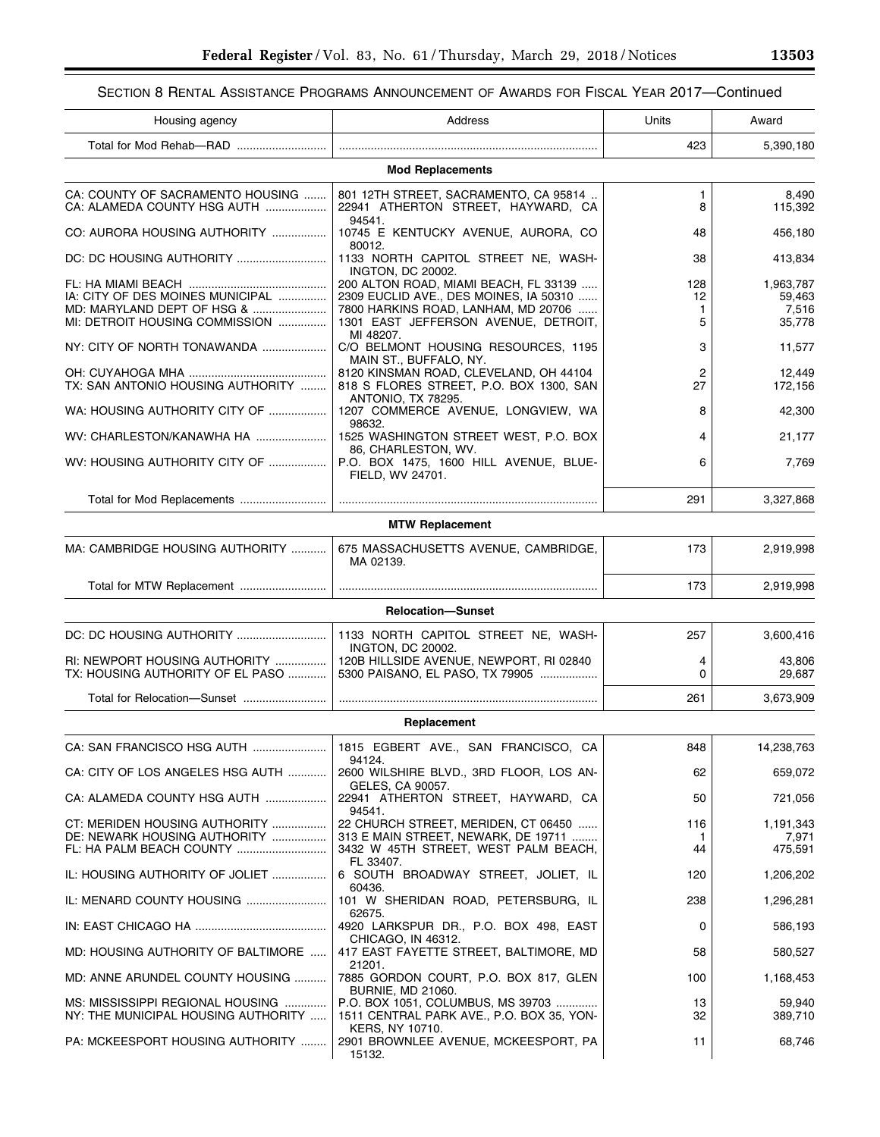# SECTION 8 RENTAL ASSISTANCE PROGRAMS ANNOUNCEMENT OF AWARDS FOR FISCAL YEAR 2017—Continued

| Housing agency                                                                                   | Address                                                                                                                                                        | Units               | Award                                  |
|--------------------------------------------------------------------------------------------------|----------------------------------------------------------------------------------------------------------------------------------------------------------------|---------------------|----------------------------------------|
|                                                                                                  |                                                                                                                                                                | 423                 | 5,390,180                              |
|                                                                                                  | <b>Mod Replacements</b>                                                                                                                                        |                     |                                        |
| CA: COUNTY OF SACRAMENTO HOUSING<br>CA: ALAMEDA COUNTY HSG AUTH                                  | 801 12TH STREET, SACRAMENTO, CA 95814<br>22941 ATHERTON STREET, HAYWARD, CA                                                                                    | 1<br>8              | 8,490<br>115,392                       |
| CO: AURORA HOUSING AUTHORITY                                                                     | 94541.<br>10745 E KENTUCKY AVENUE, AURORA, CO<br>80012.                                                                                                        | 48                  | 456,180                                |
|                                                                                                  | 1133 NORTH CAPITOL STREET NE, WASH-<br><b>INGTON, DC 20002.</b>                                                                                                | 38                  | 413,834                                |
| IA: CITY OF DES MOINES MUNICIPAL<br>MD: MARYLAND DEPT OF HSG &<br>MI: DETROIT HOUSING COMMISSION | 200 ALTON ROAD, MIAMI BEACH, FL 33139<br>2309 EUCLID AVE., DES MOINES, IA 50310<br>7800 HARKINS ROAD, LANHAM, MD 20706<br>1301 EAST JEFFERSON AVENUE, DETROIT, | 128<br>12<br>1<br>5 | 1,963,787<br>59,463<br>7,516<br>35,778 |
| NY: CITY OF NORTH TONAWANDA                                                                      | MI 48207.<br>C/O BELMONT HOUSING RESOURCES, 1195<br>MAIN ST., BUFFALO, NY.                                                                                     | 3                   | 11,577                                 |
| TX: SAN ANTONIO HOUSING AUTHORITY                                                                | 8120 KINSMAN ROAD, CLEVELAND, OH 44104<br>818 S FLORES STREET, P.O. BOX 1300, SAN<br>ANTONIO, TX 78295.                                                        | 2<br>27             | 12,449<br>172,156                      |
| WA: HOUSING AUTHORITY CITY OF                                                                    | 1207 COMMERCE AVENUE, LONGVIEW, WA<br>98632.                                                                                                                   | 8                   | 42,300                                 |
| WV: CHARLESTON/KANAWHA HA                                                                        | 1525 WASHINGTON STREET WEST, P.O. BOX<br>86, CHARLESTON, WV.                                                                                                   | 4                   | 21,177                                 |
| WV: HOUSING AUTHORITY CITY OF                                                                    | P.O. BOX 1475, 1600 HILL AVENUE, BLUE-<br>FIELD, WV 24701.                                                                                                     | 6                   | 7,769                                  |
|                                                                                                  |                                                                                                                                                                | 291                 | 3,327,868                              |
|                                                                                                  | <b>MTW Replacement</b>                                                                                                                                         |                     |                                        |
| MA: CAMBRIDGE HOUSING AUTHORITY                                                                  | 675 MASSACHUSETTS AVENUE, CAMBRIDGE,<br>MA 02139.                                                                                                              | 173                 | 2,919,998                              |
|                                                                                                  |                                                                                                                                                                | 173                 | 2,919,998                              |
|                                                                                                  | <b>Relocation-Sunset</b>                                                                                                                                       |                     |                                        |
| DC: DC HOUSING AUTHORITY                                                                         | 1133 NORTH CAPITOL STREET NE, WASH-                                                                                                                            | 257                 | 3,600,416                              |
| RI: NEWPORT HOUSING AUTHORITY<br>TX: HOUSING AUTHORITY OF EL PASO                                | <b>INGTON, DC 20002.</b><br>120B HILLSIDE AVENUE, NEWPORT, RI 02840<br>5300 PAISANO, EL PASO, TX 79905                                                         | 4<br>0              | 43,806<br>29,687                       |
|                                                                                                  |                                                                                                                                                                | 261                 | 3,673,909                              |
|                                                                                                  | Replacement                                                                                                                                                    |                     |                                        |
|                                                                                                  | 1815 EGBERT AVE., SAN FRANCISCO, CA<br>94124.                                                                                                                  | 848                 | 14,238,763                             |
| CA: CITY OF LOS ANGELES HSG AUTH                                                                 | 2600 WILSHIRE BLVD., 3RD FLOOR, LOS AN-                                                                                                                        | 62                  | 659,072                                |
| CA: ALAMEDA COUNTY HSG AUTH                                                                      | GELES, CA 90057.<br>22941 ATHERTON STREET, HAYWARD, CA<br>94541.                                                                                               | 50                  | 721,056                                |
| CT: MERIDEN HOUSING AUTHORITY<br>DE: NEWARK HOUSING AUTHORITY                                    | 22 CHURCH STREET, MERIDEN, CT 06450<br>313 E MAIN STREET, NEWARK, DE 19711                                                                                     | 116<br>1            | 1,191,343<br>7,971                     |
|                                                                                                  | 3432 W 45TH STREET, WEST PALM BEACH,<br>FL 33407.                                                                                                              | 44                  | 475,591                                |
| IL: HOUSING AUTHORITY OF JOLIET                                                                  | 6 SOUTH BROADWAY STREET, JOLIET, IL<br>60436.                                                                                                                  | 120                 | 1,206,202                              |
| IL: MENARD COUNTY HOUSING                                                                        | 101 W SHERIDAN ROAD, PETERSBURG, IL<br>62675.                                                                                                                  | 238                 | 1,296,281                              |
|                                                                                                  | 4920 LARKSPUR DR., P.O. BOX 498, EAST<br>CHICAGO, IN 46312.                                                                                                    | 0                   | 586,193                                |
| MD: HOUSING AUTHORITY OF BALTIMORE                                                               | 417 EAST FAYETTE STREET, BALTIMORE, MD<br>21201.                                                                                                               | 58                  | 580,527                                |
| MD: ANNE ARUNDEL COUNTY HOUSING                                                                  | 7885 GORDON COURT, P.O. BOX 817, GLEN<br><b>BURNIE, MD 21060.</b>                                                                                              | 100                 | 1,168,453                              |
| MS: MISSISSIPPI REGIONAL HOUSING<br>NY: THE MUNICIPAL HOUSING AUTHORITY                          | P.O. BOX 1051, COLUMBUS, MS 39703<br>1511 CENTRAL PARK AVE., P.O. BOX 35, YON-<br><b>KERS, NY 10710.</b>                                                       | 13<br>32            | 59,940<br>389,710                      |
| PA: MCKEESPORT HOUSING AUTHORITY                                                                 | 2901 BROWNLEE AVENUE, MCKEESPORT, PA<br>15132.                                                                                                                 | 11                  | 68,746                                 |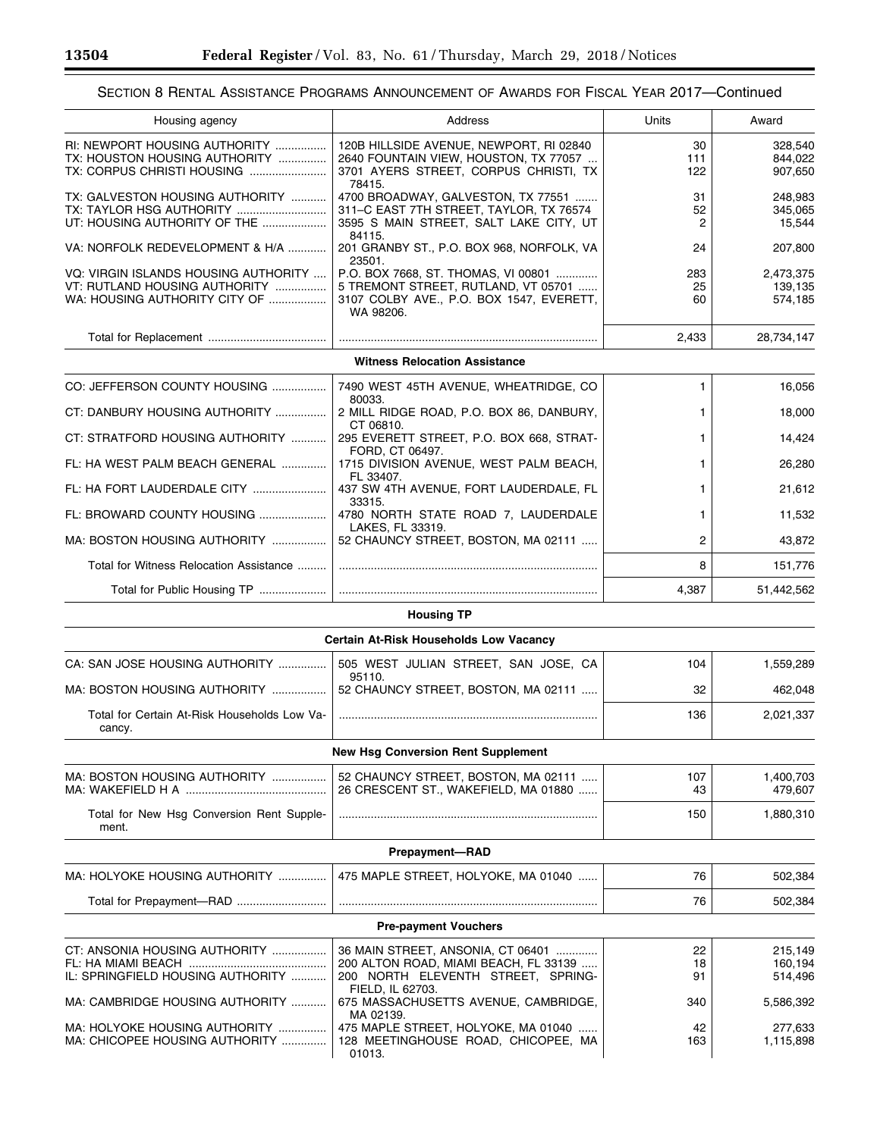▀

# SECTION 8 RENTAL ASSISTANCE PROGRAMS ANNOUNCEMENT OF AWARDS FOR FISCAL YEAR 2017—Continued

| Housing agency                                                                                         | Address                                                                                                                              | Units            | Award                           |
|--------------------------------------------------------------------------------------------------------|--------------------------------------------------------------------------------------------------------------------------------------|------------------|---------------------------------|
| RI: NEWPORT HOUSING AUTHORITY<br>TX: HOUSTON HOUSING AUTHORITY<br>TX: CORPUS CHRISTI HOUSING           | 120B HILLSIDE AVENUE, NEWPORT, RI 02840<br>2640 FOUNTAIN VIEW, HOUSTON, TX 77057<br>3701 AYERS STREET, CORPUS CHRISTI, TX<br>78415.  | 30<br>111<br>122 | 328,540<br>844,022<br>907,650   |
| TX: GALVESTON HOUSING AUTHORITY<br>TX: TAYLOR HSG AUTHORITY<br>UT: HOUSING AUTHORITY OF THE            | 4700 BROADWAY, GALVESTON, TX 77551<br>311-C EAST 7TH STREET, TAYLOR, TX 76574<br>3595 S MAIN STREET, SALT LAKE CITY, UT<br>84115.    | 31<br>52<br>2    | 248,983<br>345,065<br>15,544    |
| VA: NORFOLK REDEVELOPMENT & H/A                                                                        | 201 GRANBY ST., P.O. BOX 968, NORFOLK, VA<br>23501.                                                                                  | 24               | 207,800                         |
| VQ: VIRGIN ISLANDS HOUSING AUTHORITY<br>VT: RUTLAND HOUSING AUTHORITY<br>WA: HOUSING AUTHORITY CITY OF | P.O. BOX 7668, ST. THOMAS, VI 00801<br>5 TREMONT STREET, RUTLAND, VT 05701<br>3107 COLBY AVE., P.O. BOX 1547, EVERETT,<br>WA 98206.  | 283<br>25<br>60  | 2,473,375<br>139,135<br>574,185 |
|                                                                                                        |                                                                                                                                      | 2,433            | 28,734,147                      |
|                                                                                                        | <b>Witness Relocation Assistance</b>                                                                                                 |                  |                                 |
| CO: JEFFERSON COUNTY HOUSING                                                                           | 7490 WEST 45TH AVENUE, WHEATRIDGE, CO                                                                                                | 1                | 16,056                          |
| CT: DANBURY HOUSING AUTHORITY                                                                          | 80033.<br>2 MILL RIDGE ROAD, P.O. BOX 86, DANBURY,                                                                                   | 1.               | 18,000                          |
| CT: STRATFORD HOUSING AUTHORITY                                                                        | CT 06810.<br>295 EVERETT STREET, P.O. BOX 668, STRAT-                                                                                | 1                | 14,424                          |
| FL: HA WEST PALM BEACH GENERAL                                                                         | FORD, CT 06497.<br>1715 DIVISION AVENUE, WEST PALM BEACH,                                                                            | 1.               | 26.280                          |
| FL: HA FORT LAUDERDALE CITY                                                                            | FL 33407.<br>437 SW 4TH AVENUE, FORT LAUDERDALE, FL                                                                                  | 1                | 21,612                          |
| FL: BROWARD COUNTY HOUSING                                                                             | 33315.<br>4780 NORTH STATE ROAD 7, LAUDERDALE                                                                                        | 1.               | 11,532                          |
| MA: BOSTON HOUSING AUTHORITY                                                                           | LAKES, FL 33319.<br>52 CHAUNCY STREET, BOSTON, MA 02111                                                                              | 2                | 43,872                          |
| Total for Witness Relocation Assistance                                                                |                                                                                                                                      | 8                | 151,776                         |
| Total for Public Housing TP                                                                            |                                                                                                                                      | 4,387            | 51,442,562                      |
|                                                                                                        | <b>Housing TP</b>                                                                                                                    |                  |                                 |
|                                                                                                        | <b>Certain At-Risk Households Low Vacancy</b>                                                                                        |                  |                                 |
| CA: SAN JOSE HOUSING AUTHORITY                                                                         | 505 WEST JULIAN STREET, SAN JOSE, CA<br>95110.                                                                                       | 104              | 1,559,289                       |
| MA: BOSTON HOUSING AUTHORITY                                                                           | 52 CHAUNCY STREET, BOSTON, MA 02111                                                                                                  | 32               | 462,048                         |
| Total for Certain At-Risk Households Low Va-<br>cancy.                                                 |                                                                                                                                      | 136              | 2,021,337                       |
|                                                                                                        | <b>New Hsg Conversion Rent Supplement</b>                                                                                            |                  |                                 |
| MA: BOSTON HOUSING AUTHORITY                                                                           | 52 CHAUNCY STREET, BOSTON, MA 02111<br>26 CRESCENT ST., WAKEFIELD, MA 01880                                                          | 107<br>43        | 1,400,703<br>479,607            |
| Total for New Hsg Conversion Rent Supple-<br>ment.                                                     |                                                                                                                                      | 150              | 1,880,310                       |
|                                                                                                        | <b>Prepayment-RAD</b>                                                                                                                |                  |                                 |
| MA: HOLYOKE HOUSING AUTHORITY                                                                          | 475 MAPLE STREET, HOLYOKE, MA 01040                                                                                                  | 76               | 502,384                         |
|                                                                                                        |                                                                                                                                      | 76               | 502,384                         |
|                                                                                                        | <b>Pre-payment Vouchers</b>                                                                                                          |                  |                                 |
| CT: ANSONIA HOUSING AUTHORITY<br>IL: SPRINGFIELD HOUSING AUTHORITY                                     | 36 MAIN STREET, ANSONIA, CT 06401<br>200 ALTON ROAD, MIAMI BEACH, FL 33139<br>200 NORTH ELEVENTH STREET, SPRING-<br>FIELD, IL 62703. | 22<br>18<br>91   | 215,149<br>160,194<br>514,496   |
| MA: CAMBRIDGE HOUSING AUTHORITY                                                                        | 675 MASSACHUSETTS AVENUE, CAMBRIDGE,<br>MA 02139.                                                                                    | 340              | 5,586,392                       |
| MA: HOLYOKE HOUSING AUTHORITY<br>MA: CHICOPEE HOUSING AUTHORITY                                        | 475 MAPLE STREET, HOLYOKE, MA 01040<br>128 MEETINGHOUSE ROAD, CHICOPEE, MA<br>01013.                                                 | 42<br>163        | 277,633<br>1,115,898            |

-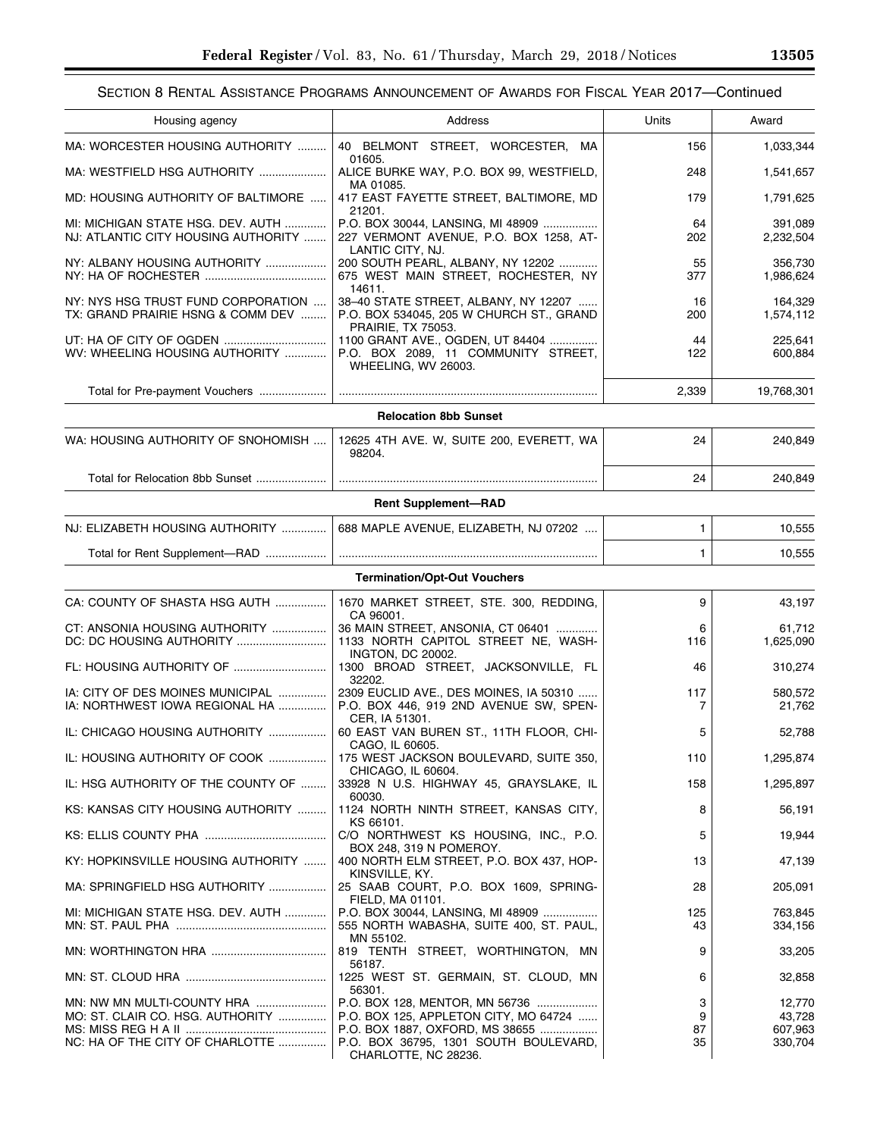# SECTION 8 RENTAL ASSISTANCE PROGRAMS ANNOUNCEMENT OF AWARDS FOR FISCAL YEAR 2017—Continued

| Housing agency                                                                                    | Address                                                                                                                                                                               | Units              | Award                                  |
|---------------------------------------------------------------------------------------------------|---------------------------------------------------------------------------------------------------------------------------------------------------------------------------------------|--------------------|----------------------------------------|
| MA: WORCESTER HOUSING AUTHORITY                                                                   | 40 BELMONT STREET, WORCESTER, MA<br>01605.                                                                                                                                            | 156                | 1,033,344                              |
| MA: WESTFIELD HSG AUTHORITY                                                                       | ALICE BURKE WAY, P.O. BOX 99, WESTFIELD,<br>MA 01085.                                                                                                                                 | 248                | 1,541,657                              |
| MD: HOUSING AUTHORITY OF BALTIMORE                                                                | 417 EAST FAYETTE STREET, BALTIMORE, MD<br>21201.                                                                                                                                      | 179                | 1,791,625                              |
| MI: MICHIGAN STATE HSG. DEV. AUTH<br>NJ: ATLANTIC CITY HOUSING AUTHORITY                          | P.O. BOX 30044, LANSING, MI 48909<br>227 VERMONT AVENUE, P.O. BOX 1258, AT-<br>LANTIC CITY, NJ.                                                                                       | 64<br>202          | 391,089<br>2,232,504                   |
| NY: ALBANY HOUSING AUTHORITY                                                                      | 200 SOUTH PEARL, ALBANY, NY 12202<br>675 WEST MAIN STREET, ROCHESTER, NY                                                                                                              | 55<br>377          | 356,730<br>1,986,624                   |
| NY: NYS HSG TRUST FUND CORPORATION<br>TX: GRAND PRAIRIE HSNG & COMM DEV                           | 14611.<br>38-40 STATE STREET, ALBANY, NY 12207<br>P.O. BOX 534045, 205 W CHURCH ST., GRAND                                                                                            | 16<br>200          | 164,329<br>1,574,112                   |
| UT: HA OF CITY OF OGDEN<br>WV: WHEELING HOUSING AUTHORITY                                         | <b>PRAIRIE, TX 75053.</b><br>1100 GRANT AVE., OGDEN, UT 84404<br>P.O. BOX 2089, 11 COMMUNITY STREET,<br><b>WHEELING, WV 26003.</b>                                                    | 44<br>122          | 225,641<br>600,884                     |
| Total for Pre-payment Vouchers                                                                    |                                                                                                                                                                                       | 2,339              | 19,768,301                             |
|                                                                                                   | <b>Relocation 8bb Sunset</b>                                                                                                                                                          |                    |                                        |
| WA: HOUSING AUTHORITY OF SNOHOMISH                                                                | 12625 4TH AVE. W, SUITE 200, EVERETT, WA<br>98204.                                                                                                                                    | 24                 | 240,849                                |
| Total for Relocation 8bb Sunset                                                                   |                                                                                                                                                                                       | 24                 | 240,849                                |
|                                                                                                   | <b>Rent Supplement-RAD</b>                                                                                                                                                            |                    |                                        |
| NJ: ELIZABETH HOUSING AUTHORITY                                                                   | 688 MAPLE AVENUE, ELIZABETH, NJ 07202                                                                                                                                                 | 1                  | 10,555                                 |
| Total for Rent Supplement-RAD                                                                     |                                                                                                                                                                                       | 1                  | 10,555                                 |
|                                                                                                   | <b>Termination/Opt-Out Vouchers</b>                                                                                                                                                   |                    |                                        |
| CA: COUNTY OF SHASTA HSG AUTH                                                                     | 1670 MARKET STREET, STE. 300, REDDING,<br>CA 96001.                                                                                                                                   | 9                  | 43,197                                 |
| CT: ANSONIA HOUSING AUTHORITY                                                                     | 36 MAIN STREET, ANSONIA, CT 06401<br>1133 NORTH CAPITOL STREET NE, WASH-<br><b>INGTON, DC 20002.</b>                                                                                  | 6<br>116           | 61,712<br>1,625,090                    |
|                                                                                                   | 1300 BROAD STREET, JACKSONVILLE, FL<br>32202.                                                                                                                                         | 46                 | 310,274                                |
| IA: CITY OF DES MOINES MUNICIPAL<br>IA: NORTHWEST IOWA REGIONAL HA                                | 2309 EUCLID AVE., DES MOINES, IA 50310<br>P.O. BOX 446, 919 2ND AVENUE SW, SPEN-                                                                                                      | 117<br>7           | 580,572<br>21,762                      |
| IL: CHICAGO HOUSING AUTHORITY                                                                     | CER, IA 51301.<br>60 EAST VAN BUREN ST., 11TH FLOOR, CHI-                                                                                                                             | 5                  | 52,788                                 |
| IL: HOUSING AUTHORITY OF COOK                                                                     | CAGO, IL 60605.<br>175 WEST JACKSON BOULEVARD, SUITE 350,                                                                                                                             | 110                | 1,295,874                              |
| IL: HSG AUTHORITY OF THE COUNTY OF                                                                | CHICAGO, IL 60604.<br>33928 N U.S. HIGHWAY 45, GRAYSLAKE, IL<br>60030.                                                                                                                | 158                | 1,295,897                              |
| KS: KANSAS CITY HOUSING AUTHORITY                                                                 | 1124 NORTH NINTH STREET, KANSAS CITY,<br>KS 66101.                                                                                                                                    | 8                  | 56,191                                 |
|                                                                                                   | C/O NORTHWEST KS HOUSING, INC., P.O.                                                                                                                                                  | 5                  | 19,944                                 |
| KY: HOPKINSVILLE HOUSING AUTHORITY                                                                | BOX 248, 319 N POMEROY.<br>400 NORTH ELM STREET, P.O. BOX 437, HOP-<br>KINSVILLE, KY.                                                                                                 | 13                 | 47,139                                 |
| MA: SPRINGFIELD HSG AUTHORITY                                                                     | 25 SAAB COURT, P.O. BOX 1609, SPRING-<br>FIELD, MA 01101.                                                                                                                             | 28                 | 205,091                                |
| MI: MICHIGAN STATE HSG. DEV. AUTH                                                                 | P.O. BOX 30044, LANSING, MI 48909<br>555 NORTH WABASHA, SUITE 400, ST. PAUL,<br>MN 55102.                                                                                             | 125<br>43          | 763,845<br>334,156                     |
|                                                                                                   | 819 TENTH STREET, WORTHINGTON, MN                                                                                                                                                     | 9                  | 33,205                                 |
|                                                                                                   | 56187.<br>1225 WEST ST. GERMAIN, ST. CLOUD, MN                                                                                                                                        | 6                  | 32,858                                 |
| MN: NW MN MULTI-COUNTY HRA<br>MO: ST. CLAIR CO. HSG. AUTHORITY<br>NC: HA OF THE CITY OF CHARLOTTE | 56301.<br>P.O. BOX 128, MENTOR, MN 56736<br>P.O. BOX 125, APPLETON CITY, MO 64724<br>P.O. BOX 1887, OXFORD, MS 38655<br>P.O. BOX 36795, 1301 SOUTH BOULEVARD,<br>CHARLOTTE, NC 28236. | 3<br>9<br>87<br>35 | 12,770<br>43,728<br>607,963<br>330,704 |